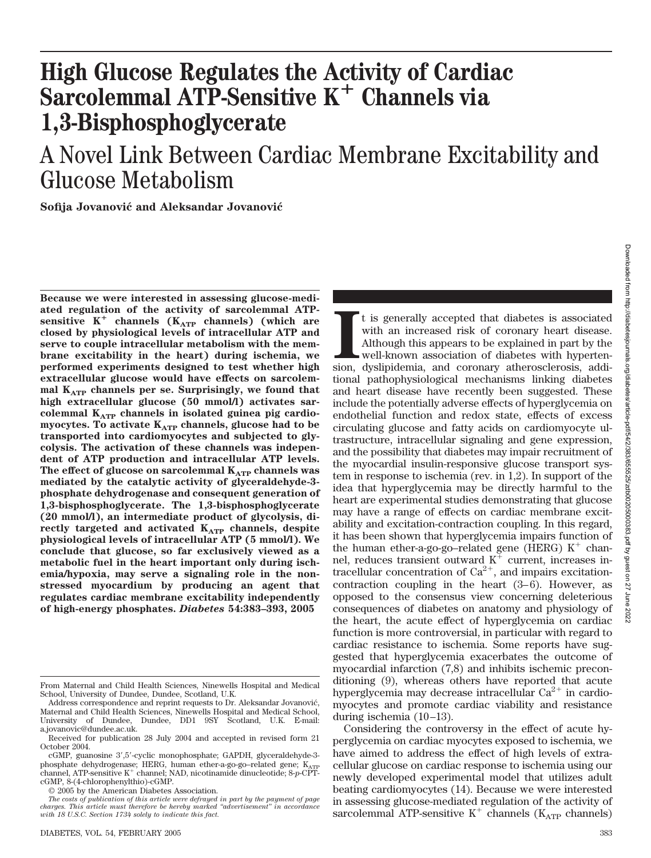# **High Glucose Regulates the Activity of Cardiac Sarcolemmal ATP-Sensitive K<sup>+</sup> Channels via 1,3-Bisphosphoglycerate**

# A Novel Link Between Cardiac Membrane Excitability and Glucose Metabolism

**Sofija Jovanovic´ and Aleksandar Jovanovic´**

**Because we were interested in assessing glucose-mediated regulation of the activity of sarcolemmal ATPsensitive K<sup>+</sup> channels (K<sub>ATP</sub> channels) (which are closed by physiological levels of intracellular ATP and serve to couple intracellular metabolism with the membrane excitability in the heart) during ischemia, we performed experiments designed to test whether high extracellular glucose would have effects on sarcolem**mal  $K_{ATP}$  channels per se. Surprisingly, we found that **high extracellular glucose (50 mmol/l) activates sarcolemmal KATP channels in isolated guinea pig cardio**myocytes. To activate K<sub>ATP</sub> channels, glucose had to be **transported into cardiomyocytes and subjected to glycolysis. The activation of these channels was independent of ATP production and intracellular ATP levels.** The effect of glucose on sarcolemmal K<sub>ATP</sub> channels was **mediated by the catalytic activity of glyceraldehyde-3 phosphate dehydrogenase and consequent generation of 1,3-bisphosphoglycerate. The 1,3-bisphosphoglycerate (20 mmol/l), an intermediate product of glycolysis, di**rectly targeted and activated K<sub>ATP</sub> channels, despite **physiological levels of intracellular ATP (5 mmol/l). We conclude that glucose, so far exclusively viewed as a metabolic fuel in the heart important only during ischemia/hypoxia, may serve a signaling role in the nonstressed myocardium by producing an agent that regulates cardiac membrane excitability independently of high-energy phosphates.** *Diabetes* **54:383–393, 2005**

© 2005 by the American Diabetes Association.

It is generally accepted that diabetes is associated with an increased risk of coronary heart disease. Although this appears to be explained in part by the well-known association of diabetes with hypertension, dyslipidemia t is generally accepted that diabetes is associated with an increased risk of coronary heart disease. Although this appears to be explained in part by the well-known association of diabetes with hypertentional pathophysiological mechanisms linking diabetes and heart disease have recently been suggested. These include the potentially adverse effects of hyperglycemia on endothelial function and redox state, effects of excess circulating glucose and fatty acids on cardiomyocyte ultrastructure, intracellular signaling and gene expression, and the possibility that diabetes may impair recruitment of the myocardial insulin-responsive glucose transport system in response to ischemia (rev. in 1,2). In support of the idea that hyperglycemia may be directly harmful to the heart are experimental studies demonstrating that glucose may have a range of effects on cardiac membrane excitability and excitation-contraction coupling. In this regard, it has been shown that hyperglycemia impairs function of the human ether-a-go-go-related gene (HERG)  $K^+$  channel, reduces transient outward  $K^+$  current, increases intracellular concentration of  $Ca^{2+}$ , and impairs excitationcontraction coupling in the heart  $(3-6)$ . However, as opposed to the consensus view concerning deleterious consequences of diabetes on anatomy and physiology of the heart, the acute effect of hyperglycemia on cardiac function is more controversial, in particular with regard to cardiac resistance to ischemia. Some reports have suggested that hyperglycemia exacerbates the outcome of myocardial infarction (7,8) and inhibits ischemic preconditioning (9), whereas others have reported that acute hyperglycemia may decrease intracellular  $Ca^{2+}$  in cardiomyocytes and promote cardiac viability and resistance during ischemia (10–13).

Considering the controversy in the effect of acute hyperglycemia on cardiac myocytes exposed to ischemia, we have aimed to address the effect of high levels of extracellular glucose on cardiac response to ischemia using our newly developed experimental model that utilizes adult beating cardiomyocytes (14). Because we were interested in assessing glucose-mediated regulation of the activity of sarcolemmal ATP-sensitive  $K^+$  channels ( $K_{ATP}$  channels)

From Maternal and Child Health Sciences, Ninewells Hospital and Medical School, University of Dundee, Dundee, Scotland, U.K.

Address correspondence and reprint requests to Dr. Aleksandar Jovanović, Maternal and Child Health Sciences, Ninewells Hospital and Medical School, University of Dundee, Dundee, DD1 9SY Scotland, U.K. E-mail: a.jovanovic@dundee.ac.uk.

Received for publication 28 July 2004 and accepted in revised form 21 October 2004.

cGMP, guanosine 3',5'-cyclic monophosphate; GAPDH, glyceraldehyde-3phosphate dehydrogenase; HERG, human ether-a-go-go–related gene; K<sub>ATP</sub><br>channel, ATP-sensitive K<sup>+</sup> channel; NAD, nicotinamide dinucleotide; 8-*p-*CPTcGMP, 8-(4-chlorophenylthio)-cGMP.

*The costs of publication of this article were defrayed in part by the payment of page charges. This article must therefore be hereby marked "advertisement" in accordance with 18 U.S.C. Section 1734 solely to indicate this fact.*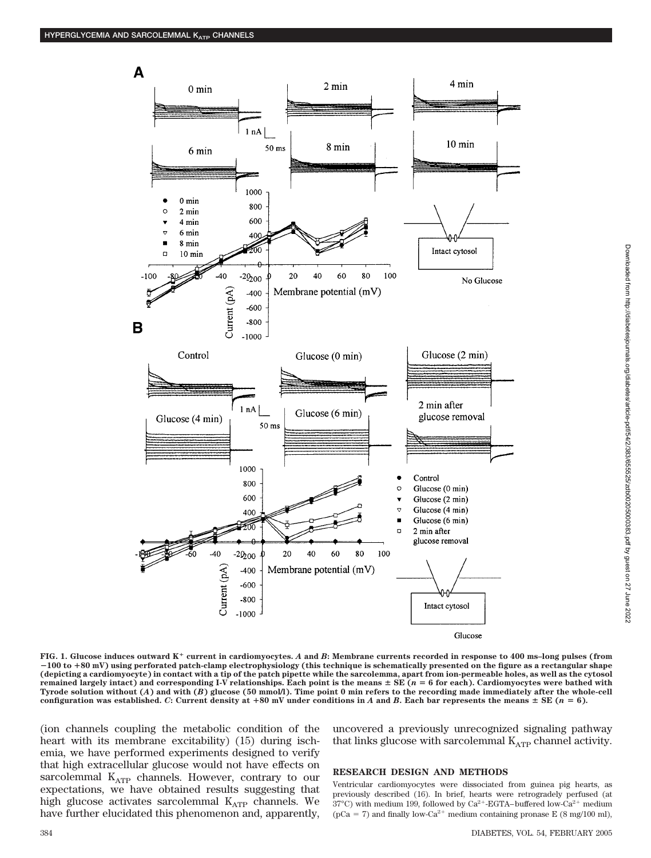

Downloaded from http://diabetesjournals.org/diabetes/article-pdf/54/2/383/655525/zdb002050000383.pdf by guest on 27 June 2022 Downloaded from http://diabetesjournals.org/diabetes/article-pdf/54/2/383/655525/zdb00205000383.pdf by guest on 27 June 2022

**FIG. 1. Glucose induces outward K current in cardiomyocytes.** *A* **and** *B***: Membrane currents recorded in response to 400 ms–long pulses (from** -**100 to 80 mV) using perforated patch-clamp electrophysiology (this technique is schematically presented on the figure as a rectangular shape (depicting a cardiomyocyte) in contact with a tip of the patch pipette while the sarcolemma, apart from ion-permeable holes, as well as the cytosol** remained largely intact) and corresponding I-V relationships. Each point is the means  $\pm$  SE ( $n = 6$  for each). Cardiomyocytes were bathed with **Tyrode solution without (***A***) and with (***B***) glucose (50 mmol/l). Time point 0 min refers to the recording made immediately after the whole-cell** configuration was established. C: Current density at  $+80$  mV under conditions in *A* and *B*. Each bar represents the means  $\pm$  SE (*n* = 6).

(ion channels coupling the metabolic condition of the heart with its membrane excitability) (15) during ischemia, we have performed experiments designed to verify that high extracellular glucose would not have effects on sarcolemmal K<sub>ATP</sub> channels. However, contrary to our expectations, we have obtained results suggesting that high glucose activates sarcolemmal KATP channels. We have further elucidated this phenomenon and, apparently, uncovered a previously unrecognized signaling pathway that links glucose with sarcolemmal  $K_{ATP}$  channel activity.

### **RESEARCH DESIGN AND METHODS**

Ventricular cardiomyocytes were dissociated from guinea pig hearts, as previously described (16). In brief, hearts were retrogradely perfused (at 37°C) with medium 199, followed by  $Ca^{2+}$ -EGTA–buffered low-Ca<sup>2+</sup> medium (pCa = 7) and finally low-Ca<sup>2+</sup> medium containing pronase E (8 mg/100 ml),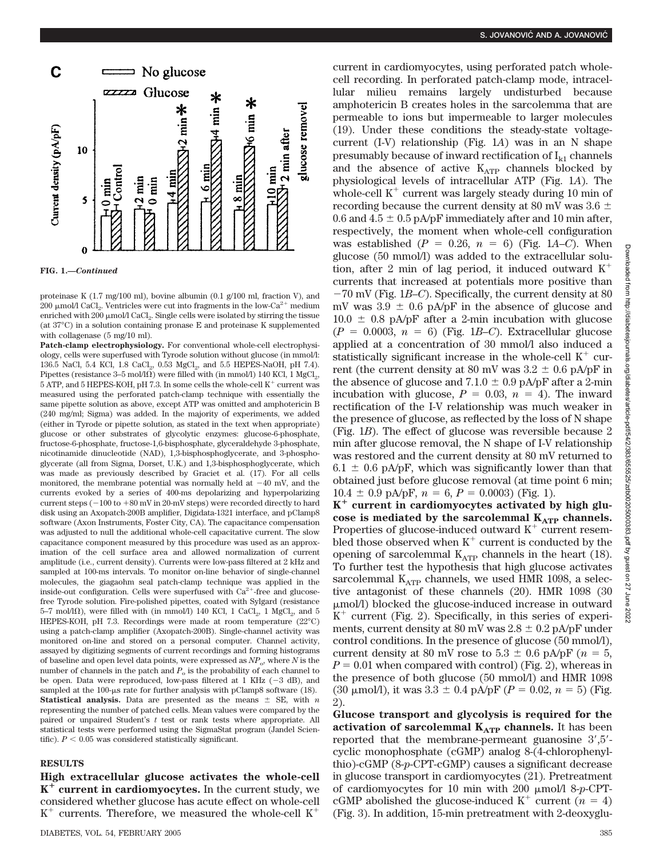

**FIG. 1.—***Continued*

proteinase K (1.7 mg/100 ml), bovine albumin (0.1 g/100 ml, fraction V), and 200 µmol/l CaCl<sub>2</sub>. Ventricles were cut into fragments in the low-Ca<sup>2+</sup> medium enriched with 200  $\mu$ mol/l CaCl<sub>2</sub>. Single cells were isolated by stirring the tissue (at 37°C) in a solution containing pronase E and proteinase K supplemented with collagenase (5 mg/10 ml).

**Patch-clamp electrophysiology.** For conventional whole-cell electrophysiology, cells were superfused with Tyrode solution without glucose (in mmol/l: 136.5 NaCl, 5.4 KCl, 1.8 CaCl<sub>2</sub>, 0.53 MgCl<sub>2</sub>, and 5.5 HEPES-NaOH, pH 7.4). Pipettes (resistance  $3-5 \text{ mol}/\Omega$ ) were filled with (in mmol/l) 140 KCl, 1 MgCl<sub>2</sub>, 5 ATP, and 5 HEPES-KOH, pH 7.3. In some cells the whole-cell  $K^+$  current was measured using the perforated patch-clamp technique with essentially the same pipette solution as above, except ATP was omitted and amphotericin B (240 mg/ml; Sigma) was added. In the majority of experiments, we added (either in Tyrode or pipette solution, as stated in the text when appropriate) glucose or other substrates of glycolytic enzymes: glucose-6-phosphate, fructose-6-phosphate, fructose-1,6-bisphosphate, glyceraldehyde 3-phosphate, nicotinamide dinucleotide (NAD), 1,3-bisphosphoglycerate, and 3-phosphoglycerate (all from Sigma, Dorset, U.K.) and 1,3-bisphosphoglycerate, which was made as previously described by Graciet et al. (17). For all cells monitored, the membrane potential was normally held at  $-40$  mV, and the currents evoked by a series of 400-ms depolarizing and hyperpolarizing current steps  $(-100 \text{ to } +80 \text{ mV} \text{ in } 20 \text{ mV} \text{ steps})$  were recorded directly to hard disk using an Axopatch-200B amplifier, Digidata-1321 interface, and pClamp8 software (Axon Instruments, Foster City, CA). The capacitance compensation was adjusted to null the additional whole-cell capacitative current. The slow capacitance component measured by this procedure was used as an approximation of the cell surface area and allowed normalization of current amplitude (i.e., current density). Currents were low-pass filtered at 2 kHz and sampled at 100-ms intervals. To monitor on-line behavior of single-channel molecules, the giagaohm seal patch-clamp technique was applied in the inside-out configuration. Cells were superfused with  $Ca^{2+}$ -free and glucosefree Tyrode solution. Fire-polished pipettes, coated with Sylgard (resistance 5–7 mol/l $\Omega$ ), were filled with (in mmol/l) 140 KCl, 1 CaCl<sub>2</sub>, 1 MgCl<sub>2</sub>, and 5 HEPES-KOH, pH 7.3. Recordings were made at room temperature (22°C) using a patch-clamp amplifier (Axopatch-200B). Single-channel activity was monitored on-line and stored on a personal computer. Channel activity, assayed by digitizing segments of current recordings and forming histograms of baseline and open level data points, were expressed as  $NP<sub>o</sub>$ , where *N* is the number of channels in the patch and  $P_0$  is the probability of each channel to be open. Data were reproduced, low-pass filtered at 1 KHz  $(-3 \text{ dB})$ , and sampled at the  $100$ -us rate for further analysis with pClamp8 software  $(18)$ . **Statistical analysis.** Data are presented as the means  $\pm$  SE, with *n* representing the number of patched cells. Mean values were compared by the paired or unpaired Student's *t* test or rank tests where appropriate. All statistical tests were performed using the SigmaStat program (Jandel Scientific).  $P < 0.05$  was considered statistically significant.

# **RESULTS**

**High extracellular glucose activates the whole-cell K current in cardiomyocytes.** In the current study, we considered whether glucose has acute effect on whole-cell  $K^+$  currents. Therefore, we measured the whole-cell  $K^+$ 

current in cardiomyocytes, using perforated patch wholecell recording. In perforated patch-clamp mode, intracellular milieu remains largely undisturbed because amphotericin B creates holes in the sarcolemma that are permeable to ions but impermeable to larger molecules (19). Under these conditions the steady-state voltagecurrent (I-V) relationship (Fig. 1*A*) was in an N shape presumably because of inward rectification of  $I_{k1}$  channels and the absence of active  $K_{ATP}$  channels blocked by physiological levels of intracellular ATP (Fig. 1*A*). The whole-cell  $K^+$  current was largely steady during 10 min of recording because the current density at 80 mV was  $3.6 \pm$ 0.6 and  $4.5 \pm 0.5$  pA/pF immediately after and 10 min after, respectively, the moment when whole-cell configuration was established  $(P = 0.26, n = 6)$  (Fig. 1*A–C*). When glucose (50 mmol/l) was added to the extracellular solution, after 2 min of lag period, it induced outward  $K^+$ currents that increased at potentials more positive than 70 mV (Fig. 1*B*–*C*). Specifically, the current density at 80 mV was  $3.9 \pm 0.6$  pA/pF in the absence of glucose and  $10.0 \pm 0.8$  pA/pF after a 2-min incubation with glucose  $(P = 0.0003, n = 6)$  (Fig. 1*B–C*). Extracellular glucose applied at a concentration of 30 mmol/l also induced a statistically significant increase in the whole-cell  $K^+$  current (the current density at 80 mV was  $3.2 \pm 0.6$  pA/pF in the absence of glucose and  $7.1.0 \pm 0.9$  pA/pF after a 2-min incubation with glucose,  $P = 0.03$ ,  $n = 4$ ). The inward rectification of the I-V relationship was much weaker in the presence of glucose, as reflected by the loss of N shape (Fig. 1*B*). The effect of glucose was reversible because 2 min after glucose removal, the N shape of I-V relationship was restored and the current density at 80 mV returned to  $6.1 \pm 0.6$  pA/pF, which was significantly lower than that obtained just before glucose removal (at time point 6 min;  $10.4 \pm 0.9$  pA/pF,  $n = 6$ ,  $P = 0.0003$ ) (Fig. 1).

**K current in cardiomyocytes activated by high glu**cose is mediated by the sarcolemmal K<sub>ATP</sub> channels. Properties of glucose-induced outward  $K^+$  current resembled those observed when  $K^+$  current is conducted by the opening of sarcolemmal  $K_{ATP}$  channels in the heart (18). To further test the hypothesis that high glucose activates sarcolemmal  $K_{ATP}$  channels, we used HMR 1098, a selective antagonist of these channels (20). HMR 1098 (30 mol/l) blocked the glucose-induced increase in outward  $K^+$  current (Fig. 2). Specifically, in this series of experiments, current density at 80 mV was  $2.8 \pm 0.2$  pA/pF under control conditions. In the presence of glucose (50 mmol/l), current density at 80 mV rose to  $5.3 \pm 0.6$  pA/pF ( $n = 5$ ,  $P = 0.01$  when compared with control) (Fig. 2), whereas in the presence of both glucose (50 mmol/l) and HMR 1098 (30  $\mu$ mol/l), it was 3.3  $\pm$  0.4 pA/pF ( $P = 0.02$ ,  $n = 5$ ) (Fig. 2).

**Glucose transport and glycolysis is required for the activation of sarcolemmal K<sub>ATP</sub> channels.** It has been reported that the membrane-permeant guanosine 3',5'cyclic monophosphate (cGMP) analog 8-(4-chlorophenylthio)-cGMP (8-*p*-CPT-cGMP) causes a significant decrease in glucose transport in cardiomyocytes (21). Pretreatment of cardiomyocytes for 10 min with 200 mol/l 8-*p*-CPTcGMP abolished the glucose-induced  $K^+$  current ( $n = 4$ ) (Fig. 3). In addition, 15-min pretreatment with 2-deoxyglu-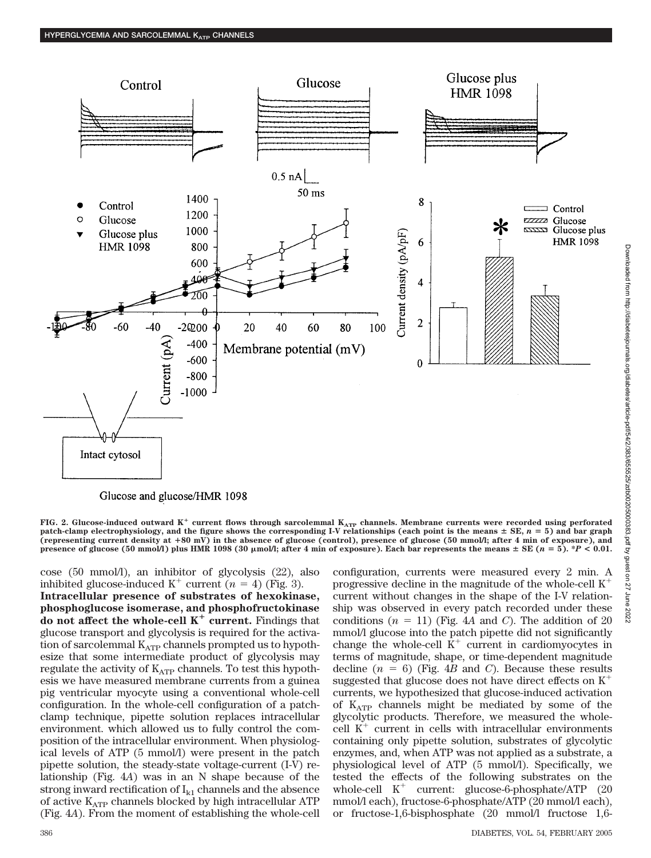

Glucose and glucose/HMR 1098

FIG. 2. Glucose-induced outward  $K^+$  current flows through sarcolemmal  $K_{ATP}$  channels. Membrane currents were recorded using perforated patch-clamp electrophysiology, and the figure shows the corresponding I-V relationships (each point is the means  $\pm$  SE,  $n = 5$ ) and bar graph **(representing current density at 80 mV) in the absence of glucose (control), presence of glucose (50 mmol/l; after 4 min of exposure), and presence of glucose (50 mmol/l) plus HMR 1098 (30**  $\mu$ **mol/l; after 4 min of exposure). Each bar represents the means**  $\pm$  **SE (** $n = 5$ **). \****P* **< 0.01.** 

cose (50 mmol/l), an inhibitor of glycolysis (22), also inhibited glucose-induced  $K^+$  current ( $n = 4$ ) (Fig. 3).

**Intracellular presence of substrates of hexokinase, phosphoglucose isomerase, and phosphofructokinase do not affect the whole-cell**  $K^+$  **current.** Findings that glucose transport and glycolysis is required for the activation of sarcolemmal  $K_{ATP}$  channels prompted us to hypothesize that some intermediate product of glycolysis may regulate the activity of  $K_{ATP}$  channels. To test this hypothesis we have measured membrane currents from a guinea pig ventricular myocyte using a conventional whole-cell configuration. In the whole-cell configuration of a patchclamp technique, pipette solution replaces intracellular environment. which allowed us to fully control the composition of the intracellular environment. When physiological levels of ATP (5 mmol/l) were present in the patch pipette solution, the steady-state voltage-current (I-V) relationship (Fig. 4*A*) was in an N shape because of the strong inward rectification of  $I_{k1}$  channels and the absence of active  $K_{ATP}$  channels blocked by high intracellular ATP (Fig. 4*A*). From the moment of establishing the whole-cell configuration, currents were measured every 2 min. A progressive decline in the magnitude of the whole-cell  $K^+$ current without changes in the shape of the I-V relationship was observed in every patch recorded under these conditions  $(n = 11)$  (Fig. 4A and *C*). The addition of 20 mmol/l glucose into the patch pipette did not significantly change the whole-cell  $K^+$  current in cardiomyocytes in terms of magnitude, shape, or time-dependent magnitude decline  $(n = 6)$  (Fig. 4*B* and *C*). Because these results suggested that glucose does not have direct effects on  $K^+$ currents, we hypothesized that glucose-induced activation of  $K_{ATP}$  channels might be mediated by some of the glycolytic products. Therefore, we measured the wholecell  $K^+$  current in cells with intracellular environments containing only pipette solution, substrates of glycolytic enzymes, and, when ATP was not applied as a substrate, a physiological level of ATP (5 mmol/l). Specifically, we tested the effects of the following substrates on the whole-cell  $K^+$  current: glucose-6-phosphate/ATP (20) mmol/l each), fructose-6-phosphate/ATP (20 mmol/l each), or fructose-1,6-bisphosphate (20 mmol/l fructose 1,6-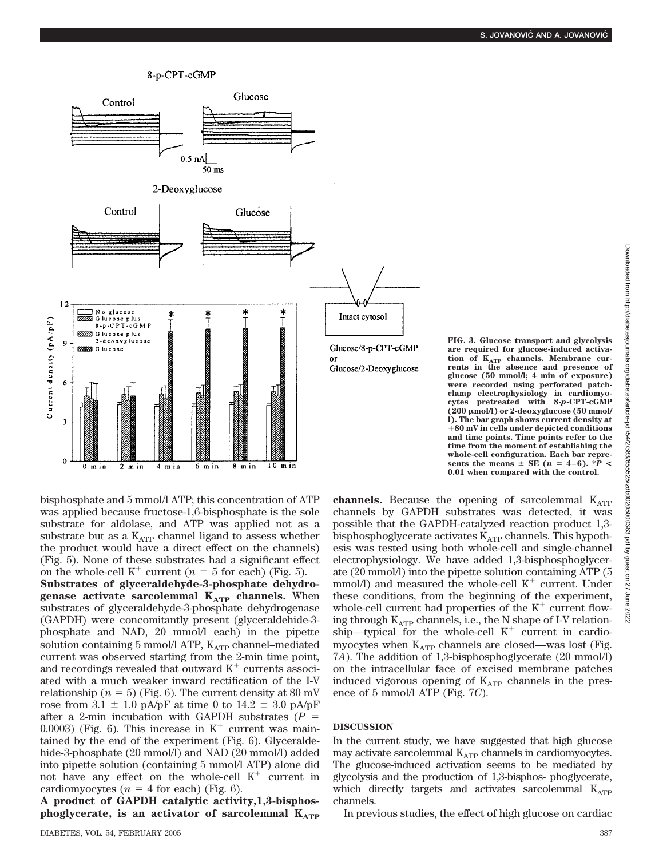# 8-p-CPT-cGMP



**FIG. 3. Glucose transport and glycolysis are required for glucose-induced activation of KATP channels. Membrane cur-rents in the absence and presence of glucose (50 mmol/l; 4 min of exposure) were recorded using perforated patchclamp electrophysiology in cardiomyocytes pretreated with 8-***p***-CPT-cGMP (200 mol/l) or 2-deoxyglucose (50 mmol/ l). The bar graph shows current density at 80 mV in cells under depicted conditions and time points. Time points refer to the time from the moment of establishing the whole-cell configuration. Each bar represents the means**  $\pm$  **SE** ( $n = 4-6$ ).  $\angle^* \overline{P}$ **0.01 when compared with the control.**

bisphosphate and 5 mmol/l ATP; this concentration of ATP was applied because fructose-1,6-bisphosphate is the sole substrate for aldolase, and ATP was applied not as a substrate but as a  $K_{ATP}$  channel ligand to assess whether the product would have a direct effect on the channels) (Fig. 5). None of these substrates had a significant effect on the whole-cell  $K^+$  current ( $n = 5$  for each) (Fig. 5).

**Substrates of glyceraldehyde-3-phosphate dehydrogenase activate sarcolemmal K<sub>ATP</sub> channels.** When substrates of glyceraldehyde-3-phosphate dehydrogenase (GAPDH) were concomitantly present (glyceraldehide-3 phosphate and NAD, 20 mmol/l each) in the pipette solution containing 5 mmol/l ATP,  $K_{ATP}$  channel–mediated current was observed starting from the 2-min time point, and recordings revealed that outward  $K^+$  currents associated with a much weaker inward rectification of the I-V relationship ( $n = 5$ ) (Fig. 6). The current density at 80 mV rose from 3.1  $\pm$  1.0 pA/pF at time 0 to 14.2  $\pm$  3.0 pA/pF after a 2-min incubation with GAPDH substrates (*P* 0.0003) (Fig. 6). This increase in  $K^+$  current was maintained by the end of the experiment (Fig. 6). Glyceraldehide-3-phosphate (20 mmol/l) and NAD (20 mmol/l) added into pipette solution (containing 5 mmol/l ATP) alone did not have any effect on the whole-cell  $K^+$  current in cardiomyocytes ( $n = 4$  for each) (Fig. 6).

**A product of GAPDH catalytic activity,1,3-bisphos**phoglycerate, is an activator of sarcolemmal K<sub>ATP</sub> channels. Because the opening of sarcolemmal KATP channels by GAPDH substrates was detected, it was possible that the GAPDH-catalyzed reaction product 1,3 bisphosphoglycerate activates  $K_{ATP}$  channels. This hypothesis was tested using both whole-cell and single-channel electrophysiology. We have added 1,3-bisphosphoglycerate (20 mmol/l) into the pipette solution containing ATP (5 mmol/l) and measured the whole-cell  $K^+$  current. Under these conditions, from the beginning of the experiment, whole-cell current had properties of the  $K^+$  current flowing through  $K_{ATP}$  channels, i.e., the N shape of I-V relationship—typical for the whole-cell  $K^+$  current in cardiomyocytes when  $K_{ATP}$  channels are closed—was lost (Fig. 7*A*). The addition of 1,3-bisphosphoglycerate (20 mmol/l) on the intracellular face of excised membrane patches induced vigorous opening of  $K_{ATP}$  channels in the presence of 5 mmol/l ATP (Fig. 7*C*).

### **DISCUSSION**

In the current study, we have suggested that high glucose may activate sarcolemmal  $K_{ATP}$  channels in cardiomyocytes. The glucose-induced activation seems to be mediated by glycolysis and the production of 1,3-bisphos- phoglycerate, which directly targets and activates sarcolemmal  $K_{ATP}$ channels.

In previous studies, the effect of high glucose on cardiac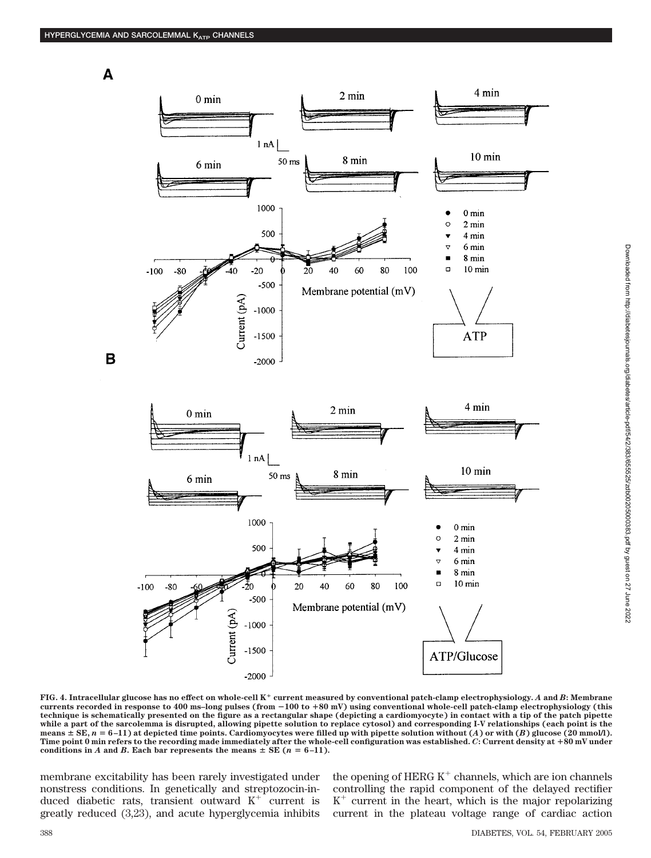A

B



**FIG. 4. Intracellular glucose has no effect on whole-cell K current measured by conventional patch-clamp electrophysiology.** *A* **and** *B***: Membrane currents recorded in response to 400 ms–long pulses (from** -**100 to 80 mV) using conventional whole-cell patch-clamp electrophysiology (this technique is schematically presented on the figure as a rectangular shape (depicting a cardiomyocyte) in contact with a tip of the patch pipette while a part of the sarcolemma is disrupted, allowing pipette solution to replace cytosol) and corresponding I-V relationships (each point is the means SE,** *n* **6 –11) at depicted time points. Cardiomyocytes were filled up with pipette solution without (***A***) or with (***B***) glucose (20 mmol/l). Time point 0 min refers to the recording made immediately after the whole-cell configuration was established.** *C***: Current density at 80 mV under** conditions in *A* and *B***.** Each bar represents the means  $\pm$  SE ( $n = 6-11$ ).

membrane excitability has been rarely investigated under nonstress conditions. In genetically and streptozocin-induced diabetic rats, transient outward  $K^+$  current is greatly reduced (3,23), and acute hyperglycemia inhibits the opening of HERG  $K^+$  channels, which are ion channels controlling the rapid component of the delayed rectifier  $K^+$  current in the heart, which is the major repolarizing current in the plateau voltage range of cardiac action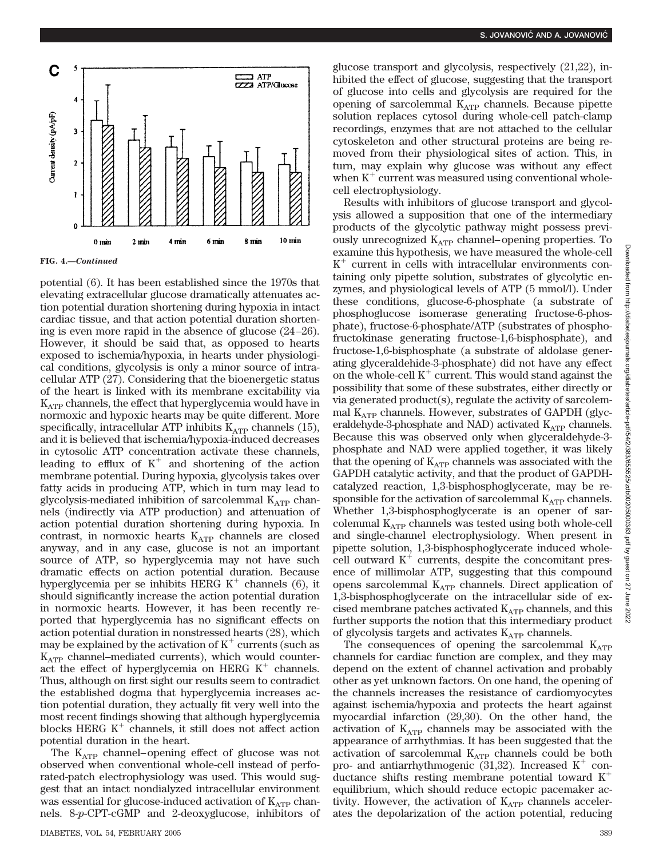

**FIG. 4.—***Continued*

potential (6). It has been established since the 1970s that elevating extracellular glucose dramatically attenuates action potential duration shortening during hypoxia in intact cardiac tissue, and that action potential duration shortening is even more rapid in the absence of glucose (24–26). However, it should be said that, as opposed to hearts exposed to ischemia/hypoxia, in hearts under physiological conditions, glycolysis is only a minor source of intracellular ATP (27). Considering that the bioenergetic status of the heart is linked with its membrane excitability via  $K_{ATP}$  channels, the effect that hyperglycemia would have in normoxic and hypoxic hearts may be quite different. More specifically, intracellular ATP inhibits  $K_{ATP}$  channels (15), and it is believed that ischemia/hypoxia-induced decreases in cytosolic ATP concentration activate these channels, leading to efflux of  $K^+$  and shortening of the action membrane potential. During hypoxia, glycolysis takes over fatty acids in producing ATP, which in turn may lead to glycolysis-mediated inhibition of sarcolemmal  $K_{ATP}$  channels (indirectly via ATP production) and attenuation of action potential duration shortening during hypoxia. In contrast, in normoxic hearts  $K_{ATP}$  channels are closed anyway, and in any case, glucose is not an important source of ATP, so hyperglycemia may not have such dramatic effects on action potential duration. Because hyperglycemia per se inhibits HERG  $K^+$  channels (6), it should significantly increase the action potential duration in normoxic hearts. However, it has been recently reported that hyperglycemia has no significant effects on action potential duration in nonstressed hearts (28), which may be explained by the activation of  $K^+$  currents (such as  $K_{ATP}$  channel–mediated currents), which would counteract the effect of hyperglycemia on HERG  $K^+$  channels. Thus, although on first sight our results seem to contradict the established dogma that hyperglycemia increases action potential duration, they actually fit very well into the most recent findings showing that although hyperglycemia blocks HERG  $K^+$  channels, it still does not affect action potential duration in the heart.

The  $K_{ATP}$  channel–opening effect of glucose was not observed when conventional whole-cell instead of perforated-patch electrophysiology was used. This would suggest that an intact nondialyzed intracellular environment was essential for glucose-induced activation of  $K_{ATP}$  channels. 8-*p*-CPT-cGMP and 2-deoxyglucose, inhibitors of glucose transport and glycolysis, respectively (21,22), inhibited the effect of glucose, suggesting that the transport of glucose into cells and glycolysis are required for the opening of sarcolemmal  $K_{ATP}$  channels. Because pipette solution replaces cytosol during whole-cell patch-clamp recordings, enzymes that are not attached to the cellular cytoskeleton and other structural proteins are being removed from their physiological sites of action. This, in turn, may explain why glucose was without any effect when  $K^+$  current was measured using conventional wholecell electrophysiology.

Results with inhibitors of glucose transport and glycolysis allowed a supposition that one of the intermediary products of the glycolytic pathway might possess previously unrecognized  $K_{ATP}$  channel–opening properties. To examine this hypothesis, we have measured the whole-cell  $K^+$  current in cells with intracellular environments containing only pipette solution, substrates of glycolytic enzymes, and physiological levels of ATP (5 mmol/l). Under these conditions, glucose-6-phosphate (a substrate of phosphoglucose isomerase generating fructose-6-phosphate), fructose-6-phosphate/ATP (substrates of phosphofructokinase generating fructose-1,6-bisphosphate), and fructose-1,6-bisphosphate (a substrate of aldolase generating glyceraldehide-3-phosphate) did not have any effect on the whole-cell  $K^+$  current. This would stand against the possibility that some of these substrates, either directly or via generated product(s), regulate the activity of sarcolemmal  $K_{ATP}$  channels. However, substrates of GAPDH (glyceraldehyde-3-phosphate and NAD) activated  $K_{ATP}$  channels. Because this was observed only when glyceraldehyde-3 phosphate and NAD were applied together, it was likely that the opening of  $K_{ATP}$  channels was associated with the GAPDH catalytic activity, and that the product of GAPDHcatalyzed reaction, 1,3-bisphosphoglycerate, may be responsible for the activation of sarcolemmal  $K_{ATP}$  channels. Whether 1,3-bisphosphoglycerate is an opener of sarcolemmal KATP channels was tested using both whole-cell and single-channel electrophysiology. When present in pipette solution, 1,3-bisphosphoglycerate induced wholecell outward  $K^+$  currents, despite the concomitant presence of millimolar ATP, suggesting that this compound opens sarcolemmal  $K_{ATP}$  channels. Direct application of 1,3-bisphosphoglycerate on the intracellular side of excised membrane patches activated  $K_{ATP}$  channels, and this further supports the notion that this intermediary product of glycolysis targets and activates  $K_{ATP}$  channels.

The consequences of opening the sarcolemmal  $K_{ATP}$ channels for cardiac function are complex, and they may depend on the extent of channel activation and probably other as yet unknown factors. On one hand, the opening of the channels increases the resistance of cardiomyocytes against ischemia/hypoxia and protects the heart against myocardial infarction (29,30). On the other hand, the activation of  $K_{ATP}$  channels may be associated with the appearance of arrhythmias. It has been suggested that the activation of sarcolemmal  $K_{ATP}$  channels could be both pro- and antiarrhythmogenic (31,32). Increased  $K^+$  conductance shifts resting membrane potential toward  $K^+$ equilibrium, which should reduce ectopic pacemaker activity. However, the activation of  $K_{ATP}$  channels accelerates the depolarization of the action potential, reducing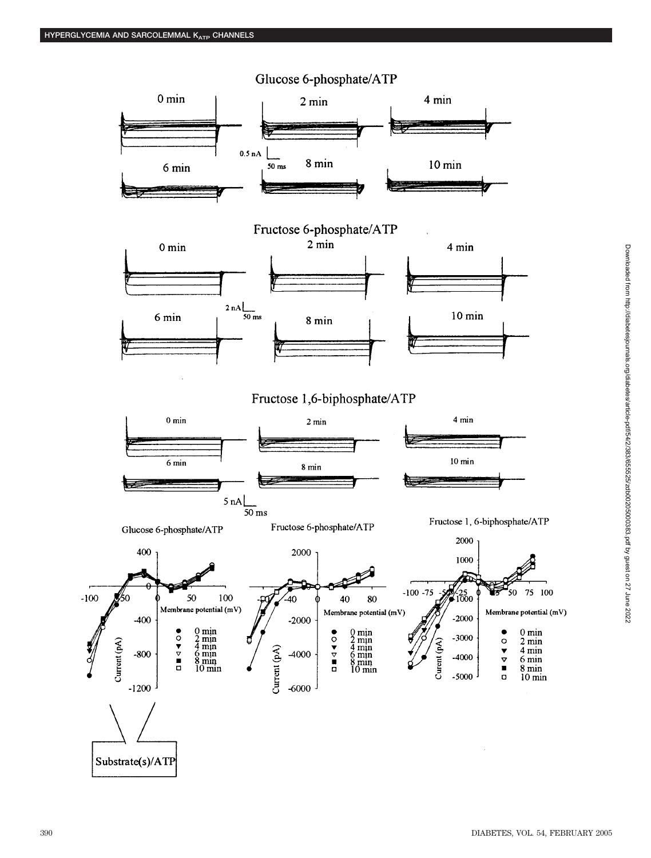

# Downloaded from http://diabetesjournals.org/diabetes/article-pdf/54/2/383/65525/zdb00205000383; pdf by guest on 27 June 2022 Downloaded from http://diabetesjournals.org/diabetes/article-pdf/54/2/383/655525/zdb00205000383.pdf by guest on 27 June 2022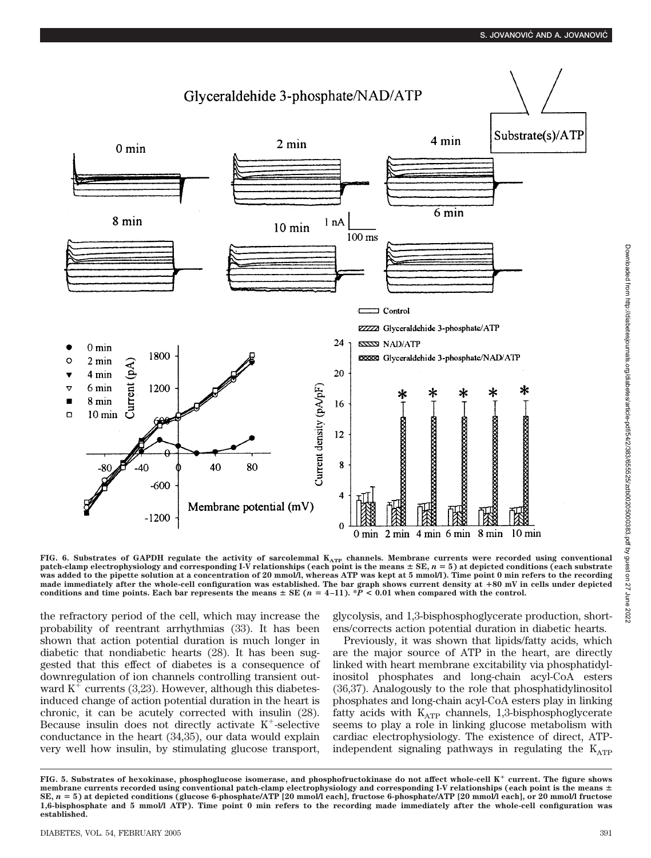

FIG. 6. Substrates of GAPDH regulate the activity of sarcolemmal  $K_{ATP}$  channels. Membrane currents were recorded using conventional **patch-clamp electrophysiology and corresponding I-V relationships (each point is the means**  $\pm$  **SE,**  $n = 5$ **) at depicted conditions (each substrate was added to the pipette solution at a concentration of 20 mmol/l, whereas ATP was kept at 5 mmol/l). Time point 0 min refers to the recording made immediately after the whole-cell configuration was established. The bar graph shows current density at 80 mV in cells under depicted** conditions and time points. Each bar represents the means  $\pm$  SE ( $n = 4-11$ ).  $\ast P \le 0.01$  when compared with the control.

the refractory period of the cell, which may increase the probability of reentrant arrhythmias (33). It has been shown that action potential duration is much longer in diabetic that nondiabetic hearts (28). It has been suggested that this effect of diabetes is a consequence of downregulation of ion channels controlling transient outward  $K^+$  currents (3,23). However, although this diabetesinduced change of action potential duration in the heart is chronic, it can be acutely corrected with insulin (28). Because insulin does not directly activate  $K^+$ -selective conductance in the heart (34,35), our data would explain very well how insulin, by stimulating glucose transport,

glycolysis, and 1,3-bisphosphoglycerate production, shortens/corrects action potential duration in diabetic hearts.

Previously, it was shown that lipids/fatty acids, which are the major source of ATP in the heart, are directly linked with heart membrane excitability via phosphatidylinositol phosphates and long-chain acyl-CoA esters (36,37). Analogously to the role that phosphatidylinositol phosphates and long-chain acyl-CoA esters play in linking fatty acids with  $K_{ATP}$  channels, 1,3-bisphosphoglycerate seems to play a role in linking glucose metabolism with cardiac electrophysiology. The existence of direct, ATPindependent signaling pathways in regulating the  $K_{ATP}$ 

**FIG. 5. Substrates of hexokinase, phosphoglucose isomerase, and phosphofructokinase do not affect whole-cell K current. The figure shows membrane currents recorded using conventional patch-clamp electrophysiology and corresponding I-V relationships (each point is the means SE,** *n* **5) at depicted conditions (glucose 6-phosphate/ATP [20 mmol/l each], fructose 6-phosphate/ATP [20 mmol/l each], or 20 mmol/l fructose 1,6-bisphosphate and 5 mmol/l ATP). Time point 0 min refers to the recording made immediately after the whole-cell configuration was established.**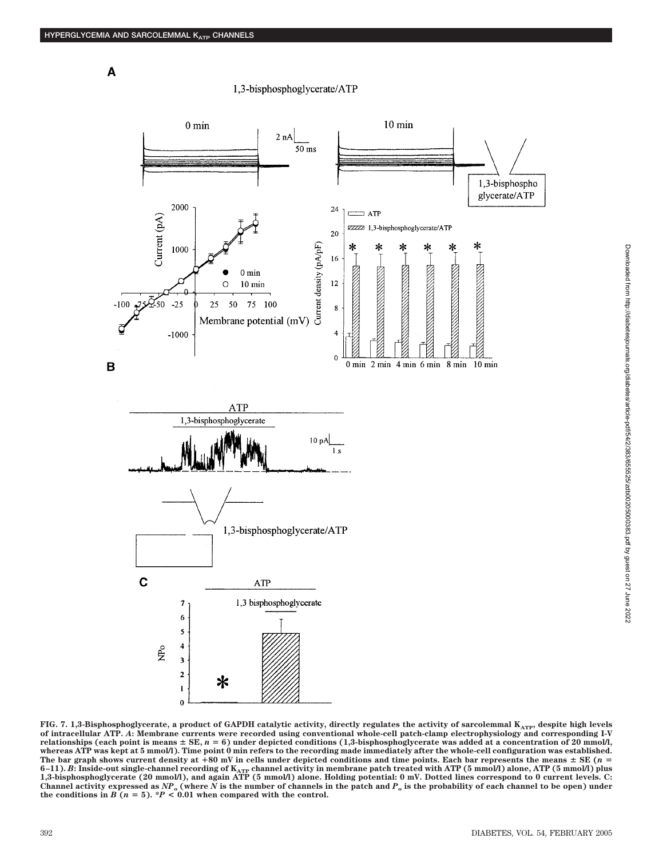$\mathbf{A}$ 

### 1.3-bisphosphoglycerate/ATP





FIG. 7. 1,3-Bisphosphoglycerate, a product of GAPDH catalytic activity, directly regulates the activity of sarcolemmal K<sub>ATP</sub>, despite high levels **of intracellular ATP.** *A***: Membrane currents were recorded using conventional whole-cell patch-clamp electrophysiology and corresponding I-V relationships (each point is means SE,** *n* **6) under depicted conditions (1,3-bisphosphoglycerate was added at a concentration of 20 mmol/l, whereas ATP was kept at 5 mmol/l). Time point 0 min refers to the recording made immediately after the whole-cell configuration was established. The bar graph shows current density at 80 mV in cells under depicted conditions and time points. Each bar represents the means SE (***n* 6–11). *B*: Inside-out single-channel recording of K<sub>ATP</sub> channel activity in membrane patch treated with ATP (5 mmol/l) alone, ATP (5 mmol/l) plus<br>1,3-bisphosphoglycerate (20 mmol/l), and again ATP (5 mmol/l) alone. Holdi Channel activity expressed as  $NP_0$  (where  $N$  is the number of channels in the patch and  $P_0$  is the probability of each channel to be open) under the conditions in  $B(n = 5)$ . \**P* < 0.01 when compared with the control.